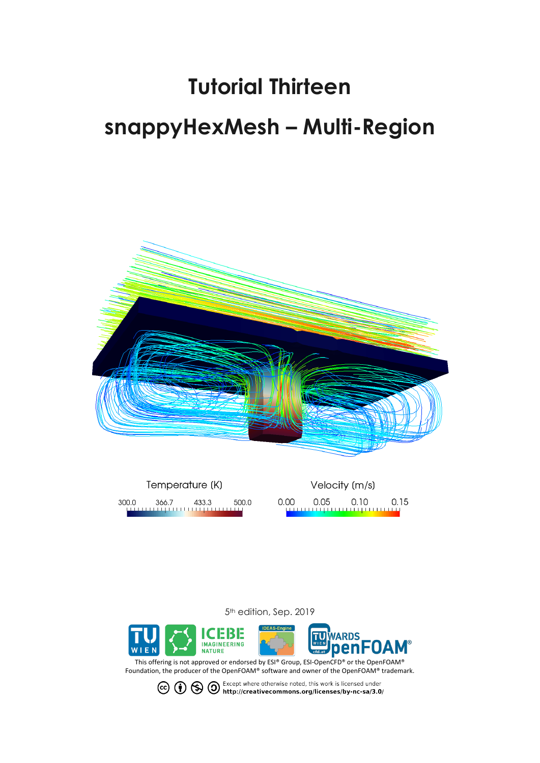# **Tutorial Thirteen snappyHexMesh – Multi-Region**





5<sup>th</sup> edition, Sep. 2019



This offering is not approved or endorsed by ESI® Group, ESI-OpenCFD® or the OpenFOAM® Foundation, the producer of the OpenFOAM® software and owner of the OpenFOAM® trademark.

CC (i) S O Except where otherwise noted, this work is licensed under<br>http://creativecommons.org/licenses/by-nc-sa/3.0/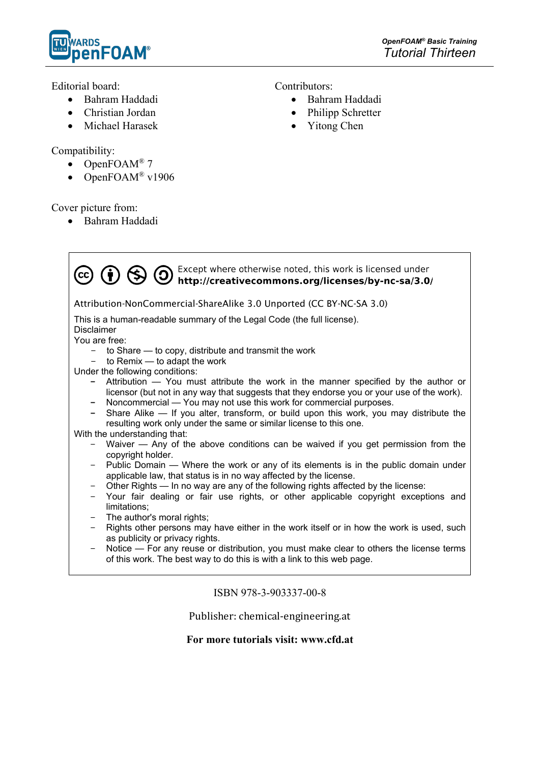

Editorial board:

- Bahram Haddadi
- Christian Jordan
- Michael Harasek

Compatibility:

- OpenFOAM®  $7$
- OpenFOAM® v1906

#### Cover picture from:

• Bahram Haddadi

Contributors:

- Bahram Haddadi
- Philipp Schretter
- Yitong Chen



Publisher: chemical-engineering.at

### **For more tutorials visit: www.cfd.at**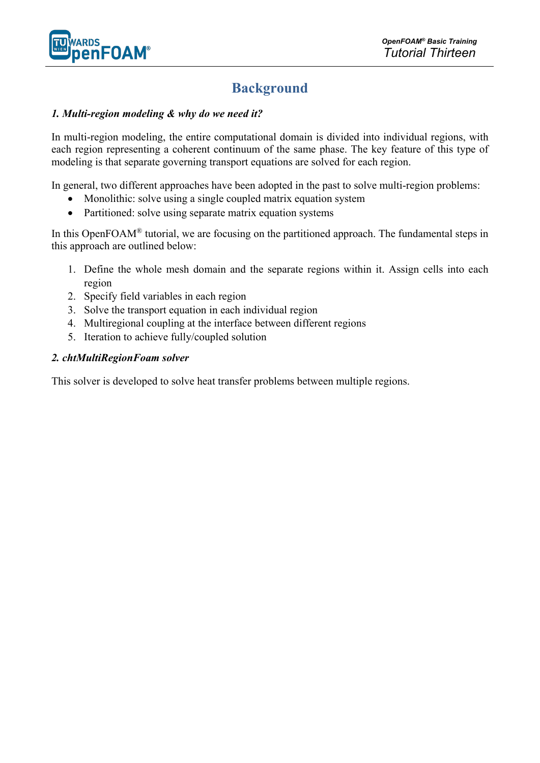

# **Background**

#### *1. Multi-region modeling & why do we need it?*

In multi-region modeling, the entire computational domain is divided into individual regions, with each region representing a coherent continuum of the same phase. The key feature of this type of modeling is that separate governing transport equations are solved for each region.

In general, two different approaches have been adopted in the past to solve multi-region problems:

- Monolithic: solve using a single coupled matrix equation system
- Partitioned: solve using separate matrix equation systems

In this OpenFOAM<sup>®</sup> tutorial, we are focusing on the partitioned approach. The fundamental steps in this approach are outlined below:

- 1. Define the whole mesh domain and the separate regions within it. Assign cells into each region
- 2. Specify field variables in each region
- 3. Solve the transport equation in each individual region
- 4. Multiregional coupling at the interface between different regions
- 5. Iteration to achieve fully/coupled solution

#### *2. chtMultiRegionFoam solver*

This solver is developed to solve heat transfer problems between multiple regions.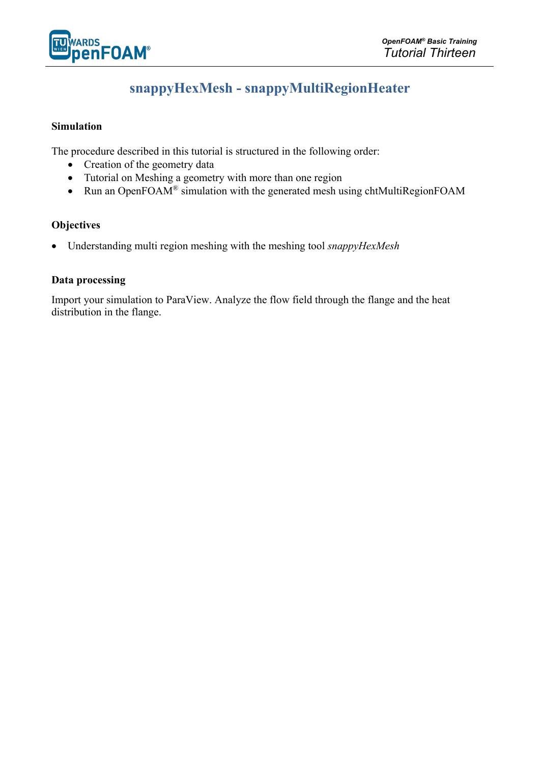

# **snappyHexMesh - snappyMultiRegionHeater**

#### **Simulation**

The procedure described in this tutorial is structured in the following order:

- Creation of the geometry data
- Tutorial on Meshing a geometry with more than one region
- Run an OpenFOAM® simulation with the generated mesh using chtMultiRegionFOAM

#### **Objectives**

• Understanding multi region meshing with the meshing tool *snappyHexMesh*

#### **Data processing**

Import your simulation to ParaView. Analyze the flow field through the flange and the heat distribution in the flange.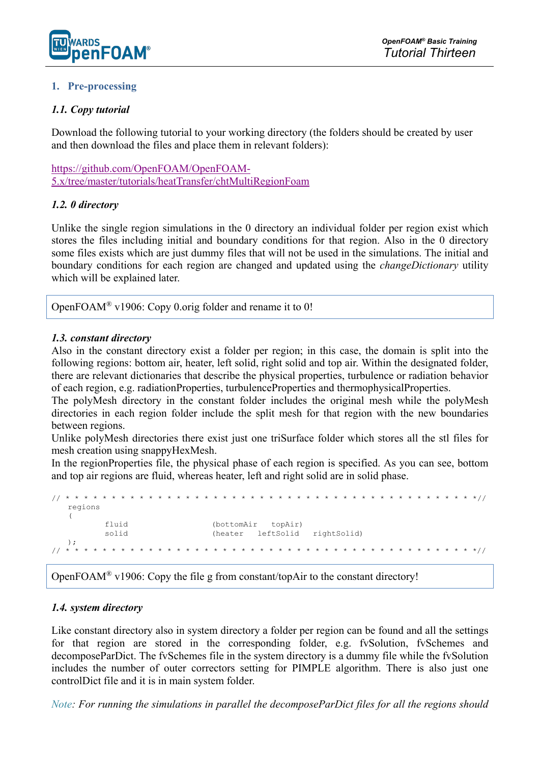

## **1. Pre-processing**

## *1.1. Copy tutorial*

Download the following tutorial to your working directory (the folders should be created by user and then download the files and place them in relevant folders):

[https://github.com/OpenFOAM/OpenFOAM-](https://github.com/OpenFOAM/OpenFOAM-5.x/tree/master/tutorials/heatTransfer/chtMultiRegionFoam)[5.x/tree/master/tutorials/heatTransfer/chtMultiRegionFoam](https://github.com/OpenFOAM/OpenFOAM-5.x/tree/master/tutorials/heatTransfer/chtMultiRegionFoam)

### *1.2. 0 directory*

Unlike the single region simulations in the 0 directory an individual folder per region exist which stores the files including initial and boundary conditions for that region. Also in the 0 directory some files exists which are just dummy files that will not be used in the simulations. The initial and boundary conditions for each region are changed and updated using the *changeDictionary* utility which will be explained later.

OpenFOAM® v1906: Copy 0.orig folder and rename it to 0!

### *1.3. constant directory*

Also in the constant directory exist a folder per region; in this case, the domain is split into the following regions: bottom air, heater, left solid, right solid and top air. Within the designated folder, there are relevant dictionaries that describe the physical properties, turbulence or radiation behavior of each region, e.g. radiationProperties, turbulenceProperties and thermophysicalProperties.

The polyMesh directory in the constant folder includes the original mesh while the polyMesh directories in each region folder include the split mesh for that region with the new boundaries between regions.

Unlike polyMesh directories there exist just one triSurface folder which stores all the stl files for mesh creation using snappyHexMesh.

In the regionProperties file, the physical phase of each region is specified. As you can see, bottom and top air regions are fluid, whereas heater, left and right solid are in solid phase.

// \* \* \* \* \* \* \* \* \* \* \* \* \* \* \* \* \* \* \* \* \* \* \* \* \* \* \* \* \* \* \* \* \* \* \* \* \* \* \* \* \* \* \* \* \*// regions  $\left($  fluid (bottomAir topAir) solid (heater leftSolid rightSolid) ); // \* \* \* \* \* \* \* \* \* \* \* \* \* \* \* \* \* \* \* \* \* \* \* \* \* \* \* \* \* \* \* \* \* \* \* \* \* \* \* \* \* \* \* \* \*//

OpenFOAM® v1906: Copy the file g from constant/topAir to the constant directory!

### *1.4. system directory*

Like constant directory also in system directory a folder per region can be found and all the settings for that region are stored in the corresponding folder, e.g. fvSolution, fvSchemes and decomposeParDict. The fvSchemes file in the system directory is a dummy file while the fvSolution includes the number of outer correctors setting for PIMPLE algorithm. There is also just one controlDict file and it is in main system folder.

*Note: For running the simulations in parallel the decomposeParDict files for all the regions should*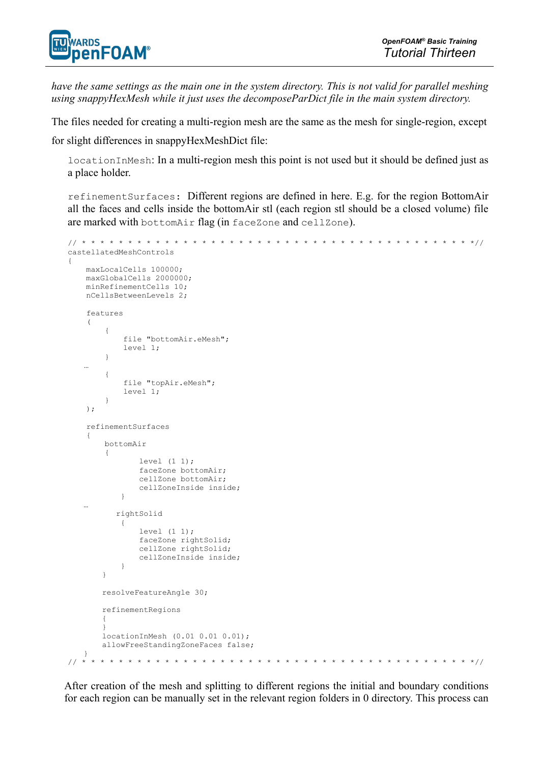

*have the same settings as the main one in the system directory. This is not valid for parallel meshing using snappyHexMesh while it just uses the decomposeParDict file in the main system directory.*

The files needed for creating a multi-region mesh are the same as the mesh for single-region, except for slight differences in snappyHexMeshDict file:

locationInMesh: In a multi-region mesh this point is not used but it should be defined just as a place holder.

refinementSurfaces: Different regions are defined in here. E.g. for the region BottomAir all the faces and cells inside the bottomAir stl (each region stl should be a closed volume) file are marked with bottomAir flag (in faceZone and cellZone).

```
// * * * * * * * * * * * * * * * * * * * * * * * * * * * * * * * * * * * * * * * * * * *//
castellatedMeshControls
{
      maxLocalCells 100000;
     maxGlobalCells 2000000;
      minRefinementCells 10;
     nCellsBetweenLevels 2;
      features
      (
\left\{ \begin{array}{c} 0 & 0 \\ 0 & 0 \end{array} \right\} file "bottomAir.eMesh";
               level 1;
 }
     …
\{ file "topAir.eMesh";
          level 1;
 }
      );
      refinementSurfaces
\left\{\begin{array}{ccc} \end{array}\right\} bottomAir
\left\{ \begin{array}{c} 1 & 1 \\ 1 & 1 \end{array} \right\} level (1 1);
                    faceZone bottomAir;
                    cellZone bottomAir;
               cellZoneInside inside;
     }
    …
              rightSolid
    \left\{ \begin{array}{cc} 0 & 0 \\ 0 & 0 \end{array} \right\} level (1 1);
                    faceZone rightSolid;
                     cellZone rightSolid;
               cellZoneInside inside;
     }
          }
          resolveFeatureAngle 30;
          refinementRegions
    \left\{ \begin{array}{c} \end{array} \right. }
          locationInMesh (0.01 0.01 0.01);
          allowFreeStandingZoneFaces false;
    }
// * * * * * * * * * * * * * * * * * * * * * * * * * * * * * * * * * * * * * * * * * * *//
```
After creation of the mesh and splitting to different regions the initial and boundary conditions for each region can be manually set in the relevant region folders in 0 directory. This process can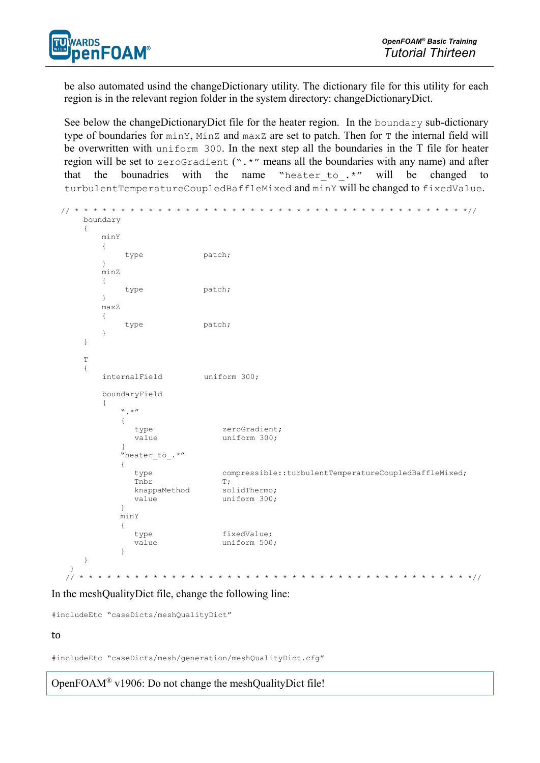

be also automated usind the changeDictionary utility. The dictionary file for this utility for each region is in the relevant region folder in the system directory: changeDictionaryDict.

See below the changeDictionaryDict file for the heater region. In the boundary sub-dictionary type of boundaries for minY, MinZ and maxZ are set to patch. Then for T the internal field will be overwritten with uniform 300. In the next step all the boundaries in the T file for heater region will be set to zeroGradient (".\*" means all the boundaries with any name) and after that the bounadries with the name "heater\_to\_.\*" will be changed to turbulentTemperatureCoupledBaffleMixed and minY will be changed to fixedValue.

```
 // * * * * * * * * * * * * * * * * * * * * * * * * * * * * * * * * * * * * * * * * * * *//
       boundary
       {
           minY 
           {
                 type patch;
           }
           minZ
           {
                 type patch;
           }
           maxZ
           {
                 type patch;
           }
       }
       T
       {
           internalField uniform 300;
           boundaryField
            {
                w \rightarrow w {
                  type zeroGradient;<br>value uniform 300:
                                       uniform 300;
                }
                "heater_to_.*"
                {
                    type compressible::turbulentTemperatureCoupledBaffleMixed;
                  Thbr T;<br>
knappaMethod solidThermo;
                  knappaMethod<br>value
                                       uniform 300;
                }
               minY
                {
                   type fixedValue;
                    value uniform 500;
                }
       \begin{array}{c} \hline \end{array} }
                                                       // * * * * * * * * * * * * * * * * * * * * * * * * * * * * * * * * * * * * * * * * * * *//
```
In the meshQualityDict file, change the following line:

#includeEtc "caseDicts/meshQualityDict"

#### to

#includeEtc "caseDicts/mesh/generation/meshQualityDict.cfg"

OpenFOAM® v1906: Do not change the meshQualityDict file!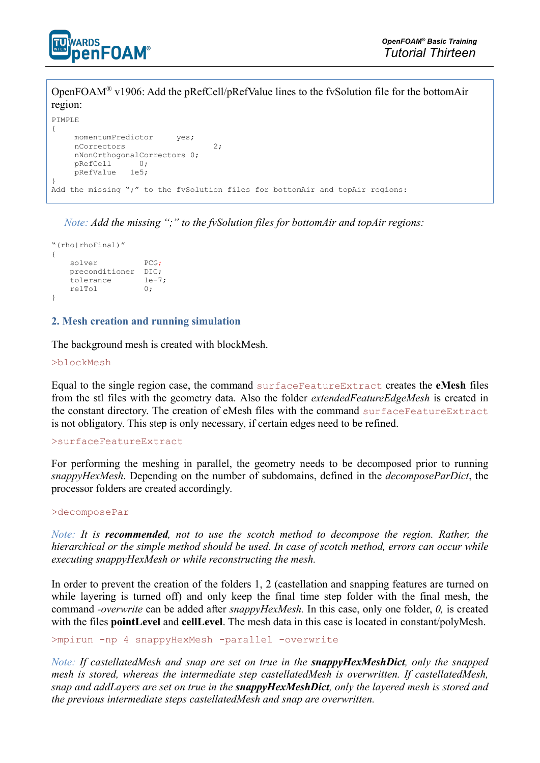

OpenFOAM® v1906: Add the pRefCell/pRefValue lines to the fvSolution file for the bottomAir region:

```
PIMPLE
{
      momentumPredictor yes;
      nCorrectors 2;
     nNonOrthogonalCorrectors 0;<br>pRefCell 0:
     pRefCell 0;<br>pRefValue 1e5;
     pRefValue
}
Add the missing ";" to the fvSolution files for bottomAir and topAir regions:
```
*Note: Add the missing ";" to the fvSolution files for bottomAir and topAir regions:*

```
"(rho|rhoFinal)"
{
    solver PCG:
    preconditioner DIC;<br>tolerance 1e-7:
    tolerance 1e<br>relTol 0:
      relTol 0;
}
```
#### **2. Mesh creation and running simulation**

The background mesh is created with blockMesh.

#### >blockMesh

Equal to the single region case, the command surfaceFeatureExtract creates the **eMesh** files from the stl files with the geometry data. Also the folder *extendedFeatureEdgeMesh* is created in the constant directory. The creation of eMesh files with the command surfaceFeatureExtract is not obligatory. This step is only necessary, if certain edges need to be refined.

#### >surfaceFeatureExtract

For performing the meshing in parallel, the geometry needs to be decomposed prior to running *snappyHexMesh*. Depending on the number of subdomains, defined in the *decomposeParDict*, the processor folders are created accordingly.

#### >decomposePar

*Note: It is recommended, not to use the scotch method to decompose the region. Rather, the hierarchical or the simple method should be used. In case of scotch method, errors can occur while executing snappyHexMesh or while reconstructing the mesh.*

In order to prevent the creation of the folders 1, 2 (castellation and snapping features are turned on while layering is turned off) and only keep the final time step folder with the final mesh, the command *-overwrite* can be added after *snappyHexMesh.* In this case, only one folder, *0,* is created with the files **pointLevel** and **cellLevel**. The mesh data in this case is located in constant/polyMesh.

>mpirun -np 4 snappyHexMesh -parallel -overwrite

*Note: If castellatedMesh and snap are set on true in the snappyHexMeshDict, only the snapped mesh is stored, whereas the intermediate step castellatedMesh is overwritten. If castellatedMesh, snap and addLayers are set on true in the snappyHexMeshDict, only the layered mesh is stored and the previous intermediate steps castellatedMesh and snap are overwritten.*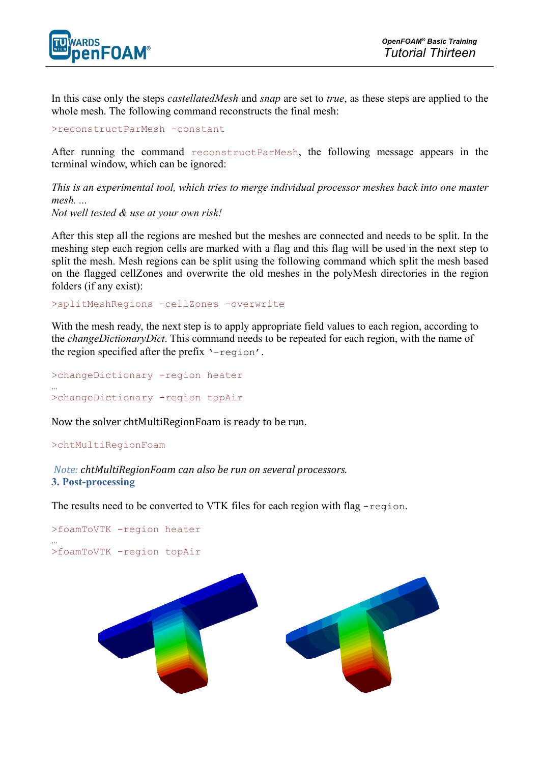

In this case only the steps *castellatedMesh* and *snap* are set to *true*, as these steps are applied to the whole mesh. The following command reconstructs the final mesh:

>reconstructParMesh -constant

After running the command reconstructParMesh, the following message appears in the terminal window, which can be ignored:

*This is an experimental tool, which tries to merge individual processor meshes back into one master mesh. ...*

*Not well tested & use at your own risk!*

After this step all the regions are meshed but the meshes are connected and needs to be split. In the meshing step each region cells are marked with a flag and this flag will be used in the next step to split the mesh. Mesh regions can be split using the following command which split the mesh based on the flagged cellZones and overwrite the old meshes in the polyMesh directories in the region folders (if any exist):

>splitMeshRegions -cellZones -overwrite

With the mesh ready, the next step is to apply appropriate field values to each region, according to the *changeDictionaryDict*. This command needs to be repeated for each region, with the name of the region specified after the prefix '–region'.

>changeDictionary -region heater … >changeDictionary -region topAir

Now the solver chtMultiRegionFoam is ready to be run.

>chtMultiRegionFoam

*Note: chtMultiRegionFoam can also be run on several processors.* **3. Post-processing**

The results need to be converted to VTK files for each region with flag -region.

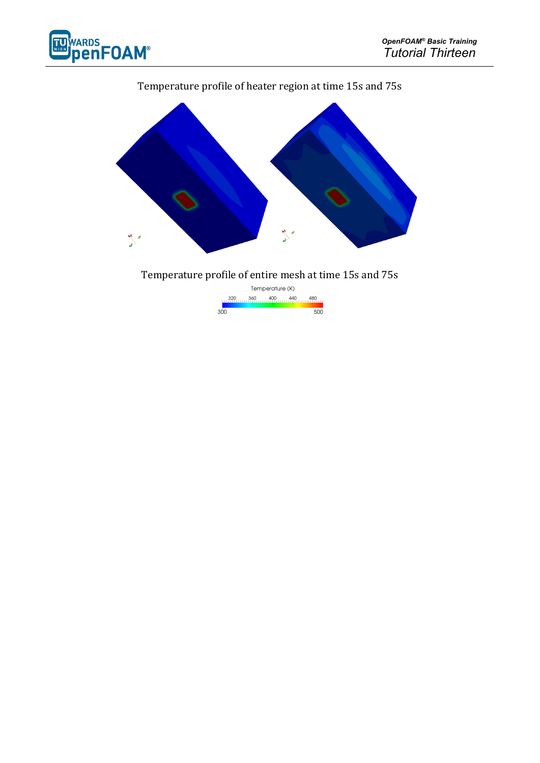

# Temperature profile of heater region at time 15s and 75s



Temperature profile of entire mesh at time 15s and 75s<br>  $\text{Temperature (K)}$